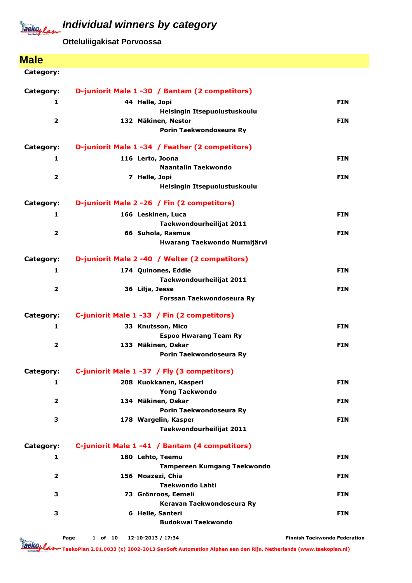**Otteluliigakisat Porvoossa**

### **Male**

| Category:               | D-juniorit Male 1 -30 / Bantam (2 competitors)   |                                     |
|-------------------------|--------------------------------------------------|-------------------------------------|
| 1                       | 44 Helle, Jopi                                   | <b>FIN</b>                          |
|                         | Helsingin Itsepuolustuskoulu                     |                                     |
| $\overline{\mathbf{2}}$ | 132 Mäkinen, Nestor                              | <b>FIN</b>                          |
|                         | Porin Taekwondoseura Ry                          |                                     |
| Category:               | D-juniorit Male 1 -34 / Feather (2 competitors)  |                                     |
| 1                       | 116 Lerto, Joona                                 | <b>FIN</b>                          |
|                         | Naantalin Taekwondo                              |                                     |
| $\overline{\mathbf{2}}$ | 7 Helle, Jopi                                    | <b>FIN</b>                          |
|                         | Helsingin Itsepuolustuskoulu                     |                                     |
| Category:               | D-juniorit Male 2 - 26 / Fin (2 competitors)     |                                     |
| 1                       | 166 Leskinen, Luca                               | <b>FIN</b>                          |
|                         | Taekwondourheilijat 2011                         |                                     |
| $\overline{\mathbf{2}}$ | 66 Suhola, Rasmus                                | <b>FIN</b>                          |
|                         | Hwarang Taekwondo Nurmijärvi                     |                                     |
| Category:               | D-juniorit Male 2 -40 / Welter (2 competitors)   |                                     |
| 1                       | 174 Quinones, Eddie                              | <b>FIN</b>                          |
|                         | Taekwondourheilijat 2011                         |                                     |
| $\overline{2}$          | 36 Lilja, Jesse                                  | <b>FIN</b>                          |
|                         | Forssan Taekwondoseura Ry                        |                                     |
| Category:               | C-juniorit Male 1 -33 / Fin (2 competitors)      |                                     |
| 1                       | 33 Knutsson, Mico                                | <b>FIN</b>                          |
|                         | <b>Espoo Hwarang Team Ry</b>                     |                                     |
| $\overline{2}$          | 133 Mäkinen, Oskar                               | <b>FIN</b>                          |
|                         | Porin Taekwondoseura Ry                          |                                     |
| Category:               | C-juniorit Male 1 -37 / Fly (3 competitors)      |                                     |
| 1                       | 208 Kuokkanen, Kasperi                           | <b>FIN</b>                          |
|                         | Yong Taekwondo                                   |                                     |
| $\overline{\mathbf{2}}$ | 134 Mäkinen, Oskar                               | <b>FIN</b>                          |
|                         | Porin Taekwondoseura Ry                          |                                     |
| 3                       | 178 Wargelin, Kasper<br>Taekwondourheilijat 2011 | <b>FIN</b>                          |
|                         |                                                  |                                     |
| Category:               | C-juniorit Male 1 -41 / Bantam (4 competitors)   |                                     |
| 1                       | 180 Lehto, Teemu                                 | <b>FIN</b>                          |
|                         | <b>Tampereen Kumgang Taekwondo</b>               |                                     |
| $\overline{\mathbf{2}}$ | 156 Moazezi, Chia<br><b>Taekwondo Lahti</b>      | <b>FIN</b>                          |
| 3                       | 73 Grönroos, Eemeli                              | <b>FIN</b>                          |
|                         | Keravan Taekwondoseura Ry                        |                                     |
| 3                       | 6 Helle, Santeri                                 | <b>FIN</b>                          |
|                         | <b>Budokwai Taekwondo</b>                        |                                     |
|                         |                                                  |                                     |
|                         | 12-10-2013 / 17:34<br>Page<br>1 of 10            | <b>Finnish Taekwondo Federation</b> |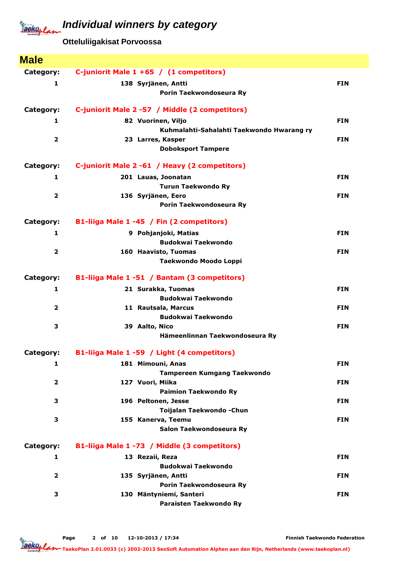## **Individual winners by category**



**Otteluliigakisat Porvoossa**

| <b>Male</b>             |                                                  |            |
|-------------------------|--------------------------------------------------|------------|
| Category:               | C-juniorit Male 1 +65 / (1 competitors)          |            |
| $\mathbf{1}$            | 138 Syrjänen, Antti                              | <b>FIN</b> |
|                         | Porin Taekwondoseura Ry                          |            |
| Category:               | C-juniorit Male 2 -57 / Middle (2 competitors)   |            |
| 1                       | 82 Vuorinen, Viljo                               | <b>FIN</b> |
|                         | Kuhmalahti-Sahalahti Taekwondo Hwarang ry        |            |
| $\mathbf{2}$            | 23 Larres, Kasper                                | <b>FIN</b> |
|                         | <b>Doboksport Tampere</b>                        |            |
| Category:               | C-juniorit Male 2 -61 / Heavy (2 competitors)    |            |
| 1                       | 201 Lauas, Joonatan                              | <b>FIN</b> |
|                         | <b>Turun Taekwondo Ry</b>                        |            |
| $\overline{\mathbf{2}}$ | 136 Syrjänen, Eero                               | <b>FIN</b> |
|                         | Porin Taekwondoseura Ry                          |            |
| Category:               | B1-liiga Male 1 -45 / Fin (2 competitors)        |            |
| $\mathbf{1}$            | 9 Pohjanjoki, Matias                             | <b>FIN</b> |
|                         | <b>Budokwai Taekwondo</b>                        |            |
| $\overline{\mathbf{2}}$ | 160 Haavisto, Tuomas                             | <b>FIN</b> |
|                         | Taekwondo Moodo Loppi                            |            |
| Category:               | B1-liiga Male 1 -51 / Bantam (3 competitors)     |            |
| $\mathbf{1}$            | 21 Surakka, Tuomas                               | <b>FIN</b> |
|                         | <b>Budokwai Taekwondo</b>                        |            |
| $\overline{2}$          | 11 Rautsala, Marcus                              | <b>FIN</b> |
|                         | <b>Budokwai Taekwondo</b>                        |            |
| 3                       | 39 Aalto, Nico                                   | <b>FIN</b> |
|                         | Hämeenlinnan Taekwondoseura Ry                   |            |
| Category:               | B1-liiga Male 1 -59 / Light (4 competitors)      |            |
| 1                       | 181 Mimouni, Anas                                | <b>FIN</b> |
|                         | Tampereen Kumgang Taekwondo                      |            |
| $\overline{\mathbf{2}}$ | 127 Vuori, Miika                                 | <b>FIN</b> |
| 3                       | <b>Paimion Taekwondo Ry</b>                      | <b>FIN</b> |
|                         | 196 Peltonen, Jesse<br>Toijalan Taekwondo - Chun |            |
| 3                       | 155 Kanerva, Teemu                               | <b>FIN</b> |
|                         | Salon Taekwondoseura Ry                          |            |
| Category:               | B1-liiga Male 1 -73 / Middle (3 competitors)     |            |
| 1                       | 13 Rezaii, Reza                                  | <b>FIN</b> |
|                         | <b>Budokwai Taekwondo</b>                        |            |
| $\overline{\mathbf{2}}$ | 135 Syrjänen, Antti                              | <b>FIN</b> |
|                         | Porin Taekwondoseura Ry                          |            |
| 3                       | 130 Mäntyniemi, Santeri                          | <b>FIN</b> |
|                         | Paraisten Taekwondo Ry                           |            |

Page 2 of 10 12-10-2013 / 17:34

Finnish Taekwondo Federation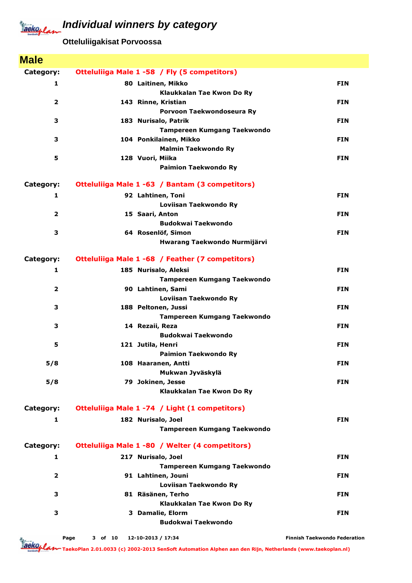## **Individual winners by category**



### **Otteluliigakisat Porvoossa**

| <b>Male</b>    |                                                      |            |
|----------------|------------------------------------------------------|------------|
| Category:      | Otteluliiga Male 1 -58 / Fly (5 competitors)         |            |
| 1              | 80 Laitinen, Mikko                                   | <b>FIN</b> |
|                | Klaukkalan Tae Kwon Do Ry                            |            |
| $\overline{2}$ | 143 Rinne, Kristian                                  | <b>FIN</b> |
|                | Porvoon Taekwondoseura Ry                            |            |
| 3              | 183 Nurisalo, Patrik                                 | <b>FIN</b> |
|                | <b>Tampereen Kumgang Taekwondo</b>                   |            |
| 3              | 104 Ponkilainen, Mikko<br><b>Malmin Taekwondo Ry</b> | <b>FIN</b> |
| 5              | 128 Vuori, Miika                                     | <b>FIN</b> |
|                | <b>Paimion Taekwondo Ry</b>                          |            |
|                |                                                      |            |
| Category:      | Otteluliiga Male 1 -63 / Bantam (3 competitors)      |            |
| 1              | 92 Lahtinen, Toni                                    | <b>FIN</b> |
|                | Loviisan Taekwondo Ry                                |            |
| $\overline{2}$ | 15 Saari, Anton                                      | <b>FIN</b> |
|                | <b>Budokwai Taekwondo</b>                            |            |
| 3              | 64 Rosenlöf, Simon<br>Hwarang Taekwondo Nurmijärvi   | <b>FIN</b> |
|                |                                                      |            |
| Category:      | Otteluliiga Male 1 -68 / Feather (7 competitors)     |            |
| 1              | 185 Nurisalo, Aleksi                                 | <b>FIN</b> |
|                | <b>Tampereen Kumgang Taekwondo</b>                   |            |
| $\overline{2}$ | 90 Lahtinen, Sami                                    | <b>FIN</b> |
|                | Loviisan Taekwondo Ry                                |            |
| 3              | 188 Peltonen, Jussi                                  | <b>FIN</b> |
|                | <b>Tampereen Kumgang Taekwondo</b>                   |            |
| 3              | 14 Rezaii, Reza<br><b>Budokwai Taekwondo</b>         | <b>FIN</b> |
| 5              | 121 Jutila, Henri                                    | <b>FIN</b> |
|                | <b>Paimion Taekwondo Ry</b>                          |            |
| 5/8            | 108 Haaranen, Antti                                  | <b>FIN</b> |
|                | Mukwan Jyväskylä                                     |            |
| 5/8            | 79 Jokinen, Jesse                                    | <b>FIN</b> |
|                | Klaukkalan Tae Kwon Do Ry                            |            |
| Category:      | Otteluliiga Male 1 -74 / Light (1 competitors)       |            |
|                |                                                      |            |
| 1              | 182 Nurisalo, Joel                                   | <b>FIN</b> |
|                | <b>Tampereen Kumgang Taekwondo</b>                   |            |
| Category:      | Otteluliiga Male 1 -80 / Welter (4 competitors)      |            |
| 1              | 217 Nurisalo, Joel                                   | <b>FIN</b> |
|                | <b>Tampereen Kumgang Taekwondo</b>                   |            |
| $\mathbf{2}$   | 91 Lahtinen, Jouni                                   | <b>FIN</b> |
|                | Loviisan Taekwondo Ry                                |            |
| 3              | 81 Räsänen, Terho                                    | <b>FIN</b> |
|                | Klaukkalan Tae Kwon Do Ry                            |            |
| 3              | 3 Damalie, Elorm<br><b>Budokwai Taekwondo</b>        | <b>FIN</b> |
|                |                                                      |            |

Finnish Taekwondo Federation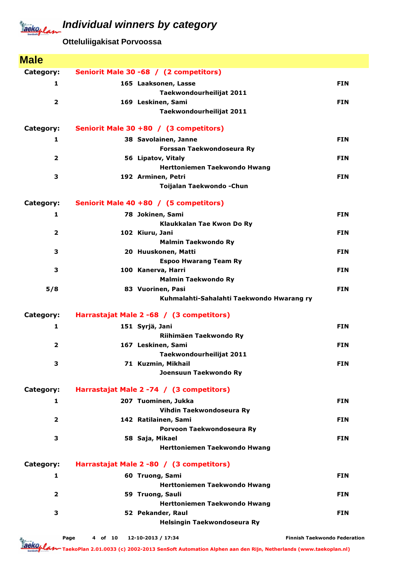# Jackoplan

### **Individual winners by category**

**Otteluliigakisat Porvoossa**

| <b>Male</b>             |                                                                |            |
|-------------------------|----------------------------------------------------------------|------------|
| Category:               | Seniorit Male 30 -68 / (2 competitors)                         |            |
| 1                       | 165 Laaksonen, Lasse                                           | <b>FIN</b> |
|                         | Taekwondourheilijat 2011                                       |            |
| $\overline{\mathbf{2}}$ | 169 Leskinen, Sami                                             | <b>FIN</b> |
|                         | Taekwondourheilijat 2011                                       |            |
| Category:               | Seniorit Male 30 +80 / (3 competitors)                         |            |
| 1                       | 38 Savolainen, Janne                                           | <b>FIN</b> |
|                         | Forssan Taekwondoseura Ry                                      |            |
| $\overline{\mathbf{2}}$ | 56 Lipatov, Vitaly<br>Herttoniemen Taekwondo Hwang             | <b>FIN</b> |
| 3                       | 192 Arminen, Petri                                             | <b>FIN</b> |
|                         | Toijalan Taekwondo - Chun                                      |            |
|                         |                                                                |            |
| Category:               | Seniorit Male 40 +80 / (5 competitors)                         |            |
| $\mathbf{1}$            | 78 Jokinen, Sami                                               | <b>FIN</b> |
| $\overline{\mathbf{2}}$ | Klaukkalan Tae Kwon Do Ry<br>102 Kiuru, Jani                   | <b>FIN</b> |
|                         | <b>Malmin Taekwondo Ry</b>                                     |            |
| 3                       | 20 Huuskonen, Matti                                            | <b>FIN</b> |
|                         | <b>Espoo Hwarang Team Ry</b>                                   |            |
| 3                       | 100 Kanerva, Harri                                             | <b>FIN</b> |
|                         | <b>Malmin Taekwondo Ry</b>                                     |            |
| 5/8                     | 83 Vuorinen, Pasi<br>Kuhmalahti-Sahalahti Taekwondo Hwarang ry | <b>FIN</b> |
|                         |                                                                |            |
| Category:               | Harrastajat Male 2 -68 / (3 competitors)                       |            |
| 1                       | 151 Syrjä, Jani                                                | <b>FIN</b> |
|                         | Riihimäen Taekwondo Ry                                         |            |
| 2                       | 167 Leskinen, Sami                                             |            |
|                         |                                                                | <b>FIN</b> |
|                         | Taekwondourheilijat 2011                                       |            |
| 3                       | 71 Kuzmin, Mikhail                                             | <b>FIN</b> |
|                         | Joensuun Taekwondo Ry                                          |            |
| Category:               | Harrastajat Male 2 - 74 / (3 competitors)                      |            |
| $\mathbf{1}$            | 207 Tuominen, Jukka                                            | <b>FIN</b> |
|                         | Vihdin Taekwondoseura Ry                                       |            |
| 2                       | 142 Ratilainen, Sami<br>Porvoon Taekwondoseura Ry              | <b>FIN</b> |
| 3                       | 58 Saja, Mikael                                                | <b>FIN</b> |
|                         | <b>Herttoniemen Taekwondo Hwang</b>                            |            |
| Category:               | Harrastajat Male 2 -80 / (3 competitors)                       |            |
| $\mathbf{1}$            | 60 Truong, Sami                                                | <b>FIN</b> |
|                         | Herttoniemen Taekwondo Hwang                                   |            |
| 2                       | 59 Truong, Sauli                                               | <b>FIN</b> |
|                         | Herttoniemen Taekwondo Hwang                                   |            |
| 3                       | 52 Pekander, Raul<br>Helsingin Taekwondoseura Ry               | <b>FIN</b> |

Page 4 of 10 12-10-2013 / 17:34

Finnish Taekwondo Federation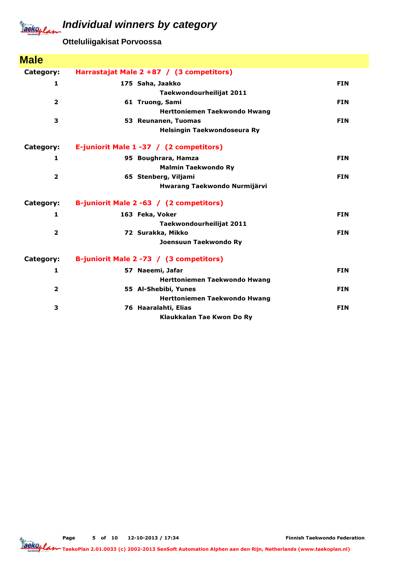### **Individual winners by category**



### **Otteluliigakisat Porvoossa**

| <b>Male</b>             |                                          |            |
|-------------------------|------------------------------------------|------------|
| Category:               | Harrastajat Male 2 +87 / (3 competitors) |            |
| 1                       | 175 Saha, Jaakko                         | <b>FIN</b> |
|                         | Taekwondourheilijat 2011                 |            |
| $\overline{\mathbf{2}}$ | 61 Truong, Sami                          | <b>FIN</b> |
|                         | Herttoniemen Taekwondo Hwang             |            |
| 3                       | 53 Reunanen, Tuomas                      | <b>FIN</b> |
|                         | Helsingin Taekwondoseura Ry              |            |
| Category:               | E-juniorit Male 1 -37 / (2 competitors)  |            |
| 1                       | 95 Boughrara, Hamza                      | <b>FIN</b> |
|                         | <b>Malmin Taekwondo Ry</b>               |            |
| $\overline{\mathbf{2}}$ | 65 Stenberg, Viljami                     | <b>FIN</b> |
|                         | Hwarang Taekwondo Nurmijärvi             |            |
| Category:               | B-juniorit Male 2 -63 / (2 competitors)  |            |
| 1                       | 163 Feka, Voker                          | <b>FIN</b> |
|                         | Taekwondourheilijat 2011                 |            |
| $\overline{\mathbf{2}}$ | 72 Surakka, Mikko                        | <b>FIN</b> |
|                         | Joensuun Taekwondo Ry                    |            |
| Category:               | B-juniorit Male 2 -73 / (3 competitors)  |            |
| 1                       | 57 Naeemi, Jafar                         | <b>FIN</b> |
|                         | <b>Herttoniemen Taekwondo Hwang</b>      |            |
| $\overline{2}$          | 55 Al-Shebibi, Yunes                     | <b>FIN</b> |
|                         | Herttoniemen Taekwondo Hwang             |            |
| 3                       | 76 Haaralahti, Elias                     | <b>FIN</b> |
|                         | Klaukkalan Tae Kwon Do Ry                |            |

Finnish Taekwondo Federation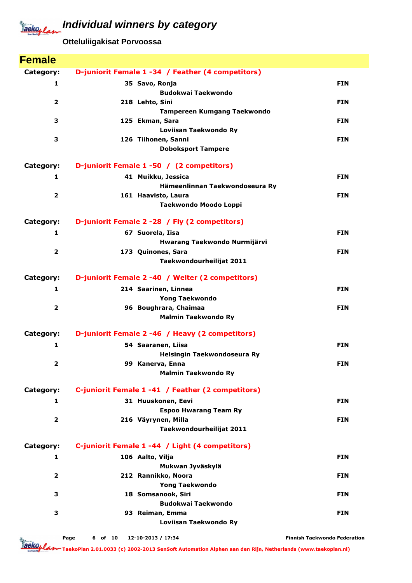**Otteluliigakisat Porvoossa**

| <b>Female</b>           |                                                     |            |
|-------------------------|-----------------------------------------------------|------------|
| Category:               | D-juniorit Female 1-34 / Feather (4 competitors)    |            |
| $\mathbf{1}$            | 35 Savo, Ronja                                      | <b>FIN</b> |
|                         | <b>Budokwai Taekwondo</b>                           |            |
| $\overline{2}$          | 218 Lehto, Sini                                     | <b>FIN</b> |
| 3                       | <b>Tampereen Kumgang Taekwondo</b>                  |            |
|                         | 125 Ekman, Sara<br>Loviisan Taekwondo Ry            | <b>FIN</b> |
| 3                       | 126 Tiihonen, Sanni                                 | <b>FIN</b> |
|                         | <b>Doboksport Tampere</b>                           |            |
| Category:               | D-juniorit Female 1 -50 / (2 competitors)           |            |
| 1                       | 41 Muikku, Jessica                                  | <b>FIN</b> |
|                         | Hämeenlinnan Taekwondoseura Ry                      |            |
| $\overline{2}$          | 161 Haavisto, Laura                                 | <b>FIN</b> |
|                         | Taekwondo Moodo Loppi                               |            |
| Category:               | D-juniorit Female 2 -28 / Fly (2 competitors)       |            |
| $\mathbf{1}$            | 67 Suorela, Iisa                                    | <b>FIN</b> |
|                         | Hwarang Taekwondo Nurmijärvi                        |            |
| $\overline{2}$          | 173 Quinones, Sara                                  | <b>FIN</b> |
|                         | Taekwondourheilijat 2011                            |            |
| Category:               | D-juniorit Female 2 -40 / Welter (2 competitors)    |            |
| $\mathbf{1}$            | 214 Saarinen, Linnea                                | <b>FIN</b> |
|                         | <b>Yong Taekwondo</b>                               |            |
| $\overline{2}$          | 96 Boughrara, Chaimaa<br><b>Malmin Taekwondo Ry</b> | <b>FIN</b> |
|                         |                                                     |            |
| Category:               | D-juniorit Female 2 -46 / Heavy (2 competitors)     |            |
| $\mathbf{1}$            | 54 Saaranen, Liisa                                  | <b>FIN</b> |
|                         | Helsingin Taekwondoseura Ry                         |            |
| 2                       | 99 Kanerva, Enna<br><b>Malmin Taekwondo Ry</b>      | <b>FIN</b> |
|                         |                                                     |            |
| Category:               | C-juniorit Female 1 -41 / Feather (2 competitors)   |            |
| $\mathbf{1}$            | 31 Huuskonen, Eevi                                  | <b>FIN</b> |
| $\overline{2}$          | <b>Espoo Hwarang Team Ry</b>                        |            |
|                         | 216 Väyrynen, Milla<br>Taekwondourheilijat 2011     | <b>FIN</b> |
|                         |                                                     |            |
| Category:               | C-juniorit Female 1 -44 / Light (4 competitors)     |            |
| 1                       | 106 Aalto, Vilja                                    | <b>FIN</b> |
|                         | Mukwan Jyväskylä                                    |            |
| $\overline{\mathbf{2}}$ | 212 Rannikko, Noora<br><b>Yong Taekwondo</b>        | <b>FIN</b> |
| 3                       | 18 Somsanook, Siri                                  | <b>FIN</b> |
|                         | <b>Budokwai Taekwondo</b>                           |            |
| 3                       | 93 Reiman, Emma                                     | <b>FIN</b> |
|                         | Loviisan Taekwondo Ry                               |            |

Page 6 of 10 12-10-2013 / 17:34

Finnish Taekwondo Federation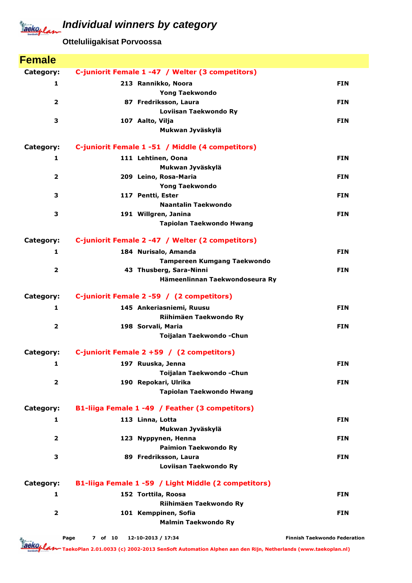**Otteluliigakisat Porvoossa**

| <b>Female</b>           |                                                      |                                     |
|-------------------------|------------------------------------------------------|-------------------------------------|
| Category:               | C-juniorit Female 1 -47 / Welter (3 competitors)     |                                     |
| 1                       | 213 Rannikko, Noora                                  | <b>FIN</b>                          |
|                         | <b>Yong Taekwondo</b>                                |                                     |
| $\mathbf{2}$            | 87 Fredriksson, Laura                                | <b>FIN</b>                          |
|                         | Loviisan Taekwondo Ry                                |                                     |
| 3                       | 107 Aalto, Vilja                                     | <b>FIN</b>                          |
|                         | Mukwan Jyväskylä                                     |                                     |
| Category:               | C-juniorit Female 1 -51 / Middle (4 competitors)     |                                     |
| 1                       | 111 Lehtinen, Oona                                   | <b>FIN</b>                          |
|                         | Mukwan Jyväskylä                                     |                                     |
| $\overline{2}$          | 209 Leino, Rosa-Maria                                | <b>FIN</b>                          |
|                         | <b>Yong Taekwondo</b>                                |                                     |
| 3                       | 117 Pentti, Ester                                    | <b>FIN</b>                          |
|                         | Naantalin Taekwondo                                  |                                     |
| 3                       | 191 Willgren, Janina                                 | <b>FIN</b>                          |
|                         | Tapiolan Taekwondo Hwang                             |                                     |
| Category:               | C-juniorit Female 2 -47 / Welter (2 competitors)     |                                     |
| 1                       | 184 Nurisalo, Amanda                                 | <b>FIN</b>                          |
|                         | <b>Tampereen Kumgang Taekwondo</b>                   |                                     |
| $\overline{\mathbf{2}}$ | 43 Thusberg, Sara-Ninni                              | <b>FIN</b>                          |
|                         | Hämeenlinnan Taekwondoseura Ry                       |                                     |
| Category:               | C-juniorit Female 2 -59 / (2 competitors)            |                                     |
| $\mathbf{1}$            | 145 Ankeriasniemi, Ruusu                             | <b>FIN</b>                          |
|                         | Riihimäen Taekwondo Ry                               |                                     |
| $\mathbf{2}$            | 198 Sorvali, Maria                                   | <b>FIN</b>                          |
|                         | Toijalan Taekwondo - Chun                            |                                     |
| Category:               | C-juniorit Female 2 +59 / (2 competitors)            |                                     |
| 1                       | 197 Ruuska, Jenna                                    | <b>FIN</b>                          |
|                         | Toijalan Taekwondo - Chun                            |                                     |
| $\overline{\mathbf{2}}$ | 190 Repokari, Ulrika                                 | <b>FIN</b>                          |
|                         | Tapiolan Taekwondo Hwang                             |                                     |
| Category:               | B1-liiga Female 1 -49 / Feather (3 competitors)      |                                     |
| 1                       | 113 Linna, Lotta                                     | <b>FIN</b>                          |
|                         | Mukwan Jyväskylä                                     |                                     |
| $\overline{\mathbf{2}}$ | 123 Nyppynen, Henna                                  | <b>FIN</b>                          |
|                         | <b>Paimion Taekwondo Ry</b>                          |                                     |
| 3                       | 89 Fredriksson, Laura                                | <b>FIN</b>                          |
|                         | Loviisan Taekwondo Ry                                |                                     |
| Category:               | B1-liiga Female 1 -59 / Light Middle (2 competitors) |                                     |
| $\mathbf{1}$            | 152 Torttila, Roosa                                  | <b>FIN</b>                          |
|                         | Riihimäen Taekwondo Ry                               |                                     |
| $\overline{2}$          | 101 Kemppinen, Sofia                                 | <b>FIN</b>                          |
|                         | <b>Malmin Taekwondo Ry</b>                           |                                     |
|                         | 12-10-2013 / 17:34<br>Page<br>7 of 10                | <b>Finnish Taekwondo Federation</b> |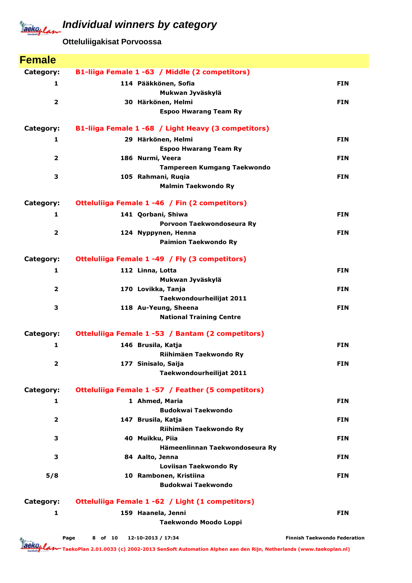**Otteluliigakisat Porvoossa**

| <b>Female</b>           |                                                     |                                     |
|-------------------------|-----------------------------------------------------|-------------------------------------|
| Category:               | B1-liiga Female 1 -63 / Middle (2 competitors)      |                                     |
| 1                       | 114 Pääkkönen, Sofia                                | <b>FIN</b>                          |
|                         | Mukwan Jyväskylä                                    |                                     |
| $\overline{2}$          | 30 Härkönen, Helmi                                  | <b>FIN</b>                          |
|                         | <b>Espoo Hwarang Team Ry</b>                        |                                     |
| Category:               | B1-liiga Female 1 -68 / Light Heavy (3 competitors) |                                     |
| 1                       | 29 Härkönen, Helmi                                  | <b>FIN</b>                          |
|                         | <b>Espoo Hwarang Team Ry</b>                        |                                     |
| $\overline{\mathbf{2}}$ | 186 Nurmi, Veera                                    | <b>FIN</b>                          |
| 3                       | Tampereen Kumgang Taekwondo                         |                                     |
|                         | 105 Rahmani, Ruqia<br><b>Malmin Taekwondo Ry</b>    | <b>FIN</b>                          |
|                         |                                                     |                                     |
| Category:               | Otteluliiga Female 1 -46 / Fin (2 competitors)      |                                     |
| 1                       | 141 Qorbani, Shiwa                                  | <b>FIN</b>                          |
| $\overline{\mathbf{2}}$ | Porvoon Taekwondoseura Ry<br>124 Nyppynen, Henna    | <b>FIN</b>                          |
|                         | <b>Paimion Taekwondo Ry</b>                         |                                     |
|                         |                                                     |                                     |
| Category:               | Otteluliiga Female 1 -49 / Fly (3 competitors)      |                                     |
| 1                       | 112 Linna, Lotta                                    | <b>FIN</b>                          |
| $\overline{2}$          | Mukwan Jyväskylä<br>170 Lovikka, Tanja              | <b>FIN</b>                          |
|                         | Taekwondourheilijat 2011                            |                                     |
| 3                       | 118 Au-Yeung, Sheena                                | <b>FIN</b>                          |
|                         | <b>National Training Centre</b>                     |                                     |
| Category:               | Otteluliiga Female 1 -53 / Bantam (2 competitors)   |                                     |
| 1                       | 146 Brusila, Katja                                  | <b>FIN</b>                          |
|                         | Riihimäen Taekwondo Ry                              |                                     |
| 2                       | 177 Sinisalo, Saija                                 | <b>FIN</b>                          |
|                         | Taekwondourheilijat 2011                            |                                     |
| Category:               | Otteluliiga Female 1 -57 / Feather (5 competitors)  |                                     |
| 1                       | 1 Ahmed, Maria                                      | <b>FIN</b>                          |
|                         | <b>Budokwai Taekwondo</b>                           |                                     |
| $\overline{\mathbf{2}}$ | 147 Brusila, Katja                                  | <b>FIN</b>                          |
|                         | Riihimäen Taekwondo Ry                              |                                     |
| 3                       | 40 Muikku, Piia                                     | <b>FIN</b>                          |
|                         | Hämeenlinnan Taekwondoseura Ry                      |                                     |
| 3                       | 84 Aalto, Jenna                                     | <b>FIN</b>                          |
|                         | Loviisan Taekwondo Ry                               |                                     |
| 5/8                     | 10 Rambonen, Kristiina<br><b>Budokwai Taekwondo</b> | <b>FIN</b>                          |
|                         |                                                     |                                     |
| Category:               | Otteluliiga Female 1 -62 / Light (1 competitors)    |                                     |
| 1                       | 159 Haanela, Jenni                                  | <b>FIN</b>                          |
|                         | Taekwondo Moodo Loppi                               |                                     |
|                         | 12-10-2013 / 17:34<br>Page<br>8 of 10               | <b>Finnish Taekwondo Federation</b> |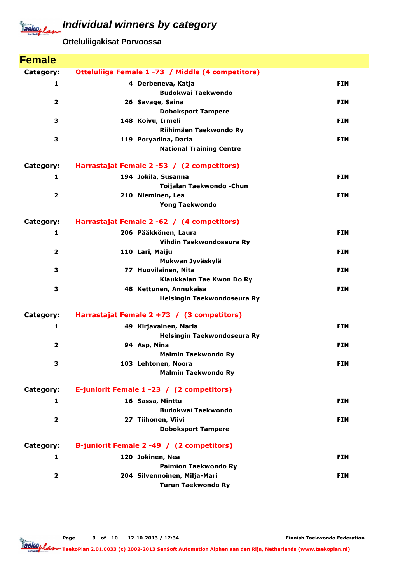**Otteluliigakisat Porvoossa**

| <b>Female</b>           |                                                         |            |
|-------------------------|---------------------------------------------------------|------------|
| Category:               | Otteluliiga Female 1 -73 / Middle (4 competitors)       |            |
| $\mathbf{1}$            | 4 Derbeneva, Katja                                      | <b>FIN</b> |
|                         | <b>Budokwai Taekwondo</b>                               |            |
| $\overline{2}$          | 26 Savage, Saina                                        | <b>FIN</b> |
|                         | <b>Doboksport Tampere</b>                               |            |
| 3                       | 148 Koivu, Irmeli                                       | <b>FIN</b> |
|                         | Riihimäen Taekwondo Ry                                  |            |
| 3                       | 119 Poryadina, Daria<br><b>National Training Centre</b> | <b>FIN</b> |
|                         |                                                         |            |
| Category:               | Harrastajat Female 2 -53 / (2 competitors)              |            |
| 1                       | 194 Jokila, Susanna                                     | <b>FIN</b> |
|                         | Toijalan Taekwondo - Chun                               |            |
| $\overline{2}$          | 210 Nieminen, Lea                                       | <b>FIN</b> |
|                         | <b>Yong Taekwondo</b>                                   |            |
| Category:               | Harrastajat Female 2 -62 / (4 competitors)              |            |
| $\mathbf{1}$            | 206 Pääkkönen, Laura                                    | <b>FIN</b> |
|                         | Vihdin Taekwondoseura Ry                                |            |
| $\overline{2}$          | 110 Lari, Maiju                                         | <b>FIN</b> |
|                         | Mukwan Jyväskylä                                        |            |
| 3                       | 77 Huovilainen, Nita                                    | <b>FIN</b> |
| 3                       | Klaukkalan Tae Kwon Do Ry<br>48 Kettunen, Annukaisa     | <b>FIN</b> |
|                         | Helsingin Taekwondoseura Ry                             |            |
|                         |                                                         |            |
| Category:               | Harrastajat Female 2 +73 / (3 competitors)              |            |
| 1                       | 49 Kirjavainen, Maria                                   | <b>FIN</b> |
|                         | Helsingin Taekwondoseura Ry                             |            |
| $\overline{2}$          | 94 Asp, Nina                                            | <b>FIN</b> |
| 3                       | <b>Malmin Taekwondo Ry</b><br>103 Lehtonen, Noora       | <b>FIN</b> |
|                         | <b>Malmin Taekwondo Ry</b>                              |            |
|                         |                                                         |            |
| Category:               | E-juniorit Female 1 -23 / (2 competitors)               |            |
| 1                       | 16 Sassa, Minttu                                        | <b>FIN</b> |
|                         | <b>Budokwai Taekwondo</b>                               |            |
| $\overline{\mathbf{2}}$ | 27 Tiihonen, Viivi                                      | <b>FIN</b> |
|                         | <b>Doboksport Tampere</b>                               |            |
| Category:               | B-juniorit Female 2 -49 / (2 competitors)               |            |
| 1                       | 120 Jokinen, Nea                                        | <b>FIN</b> |
|                         | <b>Paimion Taekwondo Ry</b>                             |            |
| $\overline{2}$          | 204 Silvennoinen, Milja-Mari                            | <b>FIN</b> |
|                         | <b>Turun Taekwondo Ry</b>                               |            |

Finnish Taekwondo Federation